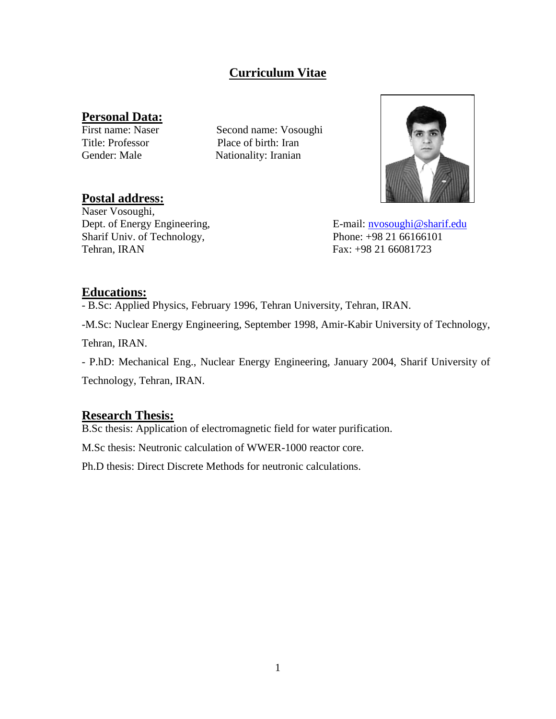## **Curriculum Vitae**

# **Personal Data:**<br>First name: Naser

Second name: Vosoughi Title: Professor Place of birth: Iran Gender: Male Nationality: Iranian



Dept. of Energy Engineering, E-mail: [nvosoughi@sharif.edu](mailto:nvosoughi@sharif.edu)

## **Postal address:**

Naser Vosoughi, Sharif Univ. of Technology, Phone: +98 21 66166101 Tehran, IRAN Fax: +98 21 66081723

### **Educations:**

- B.Sc: Applied Physics, February 1996, Tehran University, Tehran, IRAN.

-M.Sc: Nuclear Energy Engineering, September 1998, Amir-Kabir University of Technology,

Tehran, IRAN.

- P.hD: Mechanical Eng., Nuclear Energy Engineering, January 2004, Sharif University of Technology, Tehran, IRAN.

## **Research Thesis:**

B.Sc thesis: Application of electromagnetic field for water purification.

M.Sc thesis: Neutronic calculation of WWER-1000 reactor core.

Ph.D thesis: Direct Discrete Methods for neutronic calculations.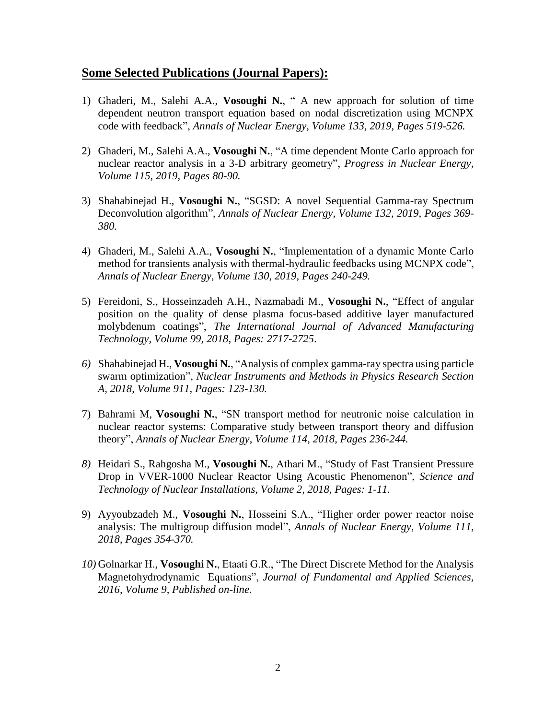#### **Some Selected Publications (Journal Papers):**

- 1) Ghaderi, M., Salehi A.A., **Vosoughi N.**, " A new approach for solution of time dependent neutron transport equation based on nodal discretization using MCNPX code with feedback", *Annals of Nuclear Energy*, *Volume 133*, *2019*, *Pages 519-526.*
- 2) Ghaderi, M., Salehi A.A., **Vosoughi N.**, "A time dependent Monte Carlo approach for nuclear reactor analysis in a 3-D arbitrary geometry", *Progress in Nuclear Energy*, *Volume 115*, *2019*, *Pages 80-90.*
- 3) Shahabinejad H., **Vosoughi N.**, "SGSD: A novel Sequential Gamma-ray Spectrum Deconvolution algorithm", *Annals of Nuclear Energy*, *Volume 132*, *2019*, *Pages 369- 380.*
- 4) Ghaderi, M., Salehi A.A., **Vosoughi N.**, "Implementation of a dynamic Monte Carlo method for transients analysis with thermal-hydraulic feedbacks using MCNPX code", *Annals of Nuclear Energy*, *Volume 130*, *2019*, *Pages 240-249.*
- 5) Fereidoni, S., Hosseinzadeh A.H., Nazmabadi M., **Vosoughi N.**, "Effect of angular position on the quality of dense plasma focus-based additive layer manufactured molybdenum coatings", *The International Journal of Advanced Manufacturing Technology, Volume 99, 2018, Pages: 2717-2725*.
- *6)* Shahabinejad H., **Vosoughi N.**, "Analysis of complex gamma-ray spectra using particle swarm optimization", *Nuclear Instruments [and Methods in Physics Research Section](https://www.sciencedirect.com/science/journal/01689002)  [A,](https://www.sciencedirect.com/science/journal/01689002) 2018, Volume 911, Pages: 123-130.*
- 7) Bahrami M, **Vosoughi N.**, "SN transport method for neutronic noise calculation in nuclear reactor systems: Comparative study between transport theory and diffusion theory", *Annals of Nuclear Energy*, *Volume 114*, *2018*, *Pages 236-244.*
- *8)* Heidari S., Rahgosha M., **Vosoughi N.**, Athari M., "Study of Fast Transient Pressure Drop in VVER-1000 Nuclear Reactor Using Acoustic Phenomenon", *Science and Technology of Nuclear Installations, Volume 2, 2018, Pages: 1-11.*
- 9) Ayyoubzadeh M., **Vosoughi N.**, Hosseini S.A., "Higher order power reactor noise analysis: The multigroup diffusion model", *Annals of Nuclear Energy*, *Volume 111*, *2018*, *Pages 354-370.*
- *10)* Golnarkar H., **Vosoughi N.**, Etaati G.R., "The Direct Discrete Method for the Analysis Magnetohydrodynamic Equations", *Journal of Fundamental and Applied Sciences, 2016, Volume 9, Published on-line.*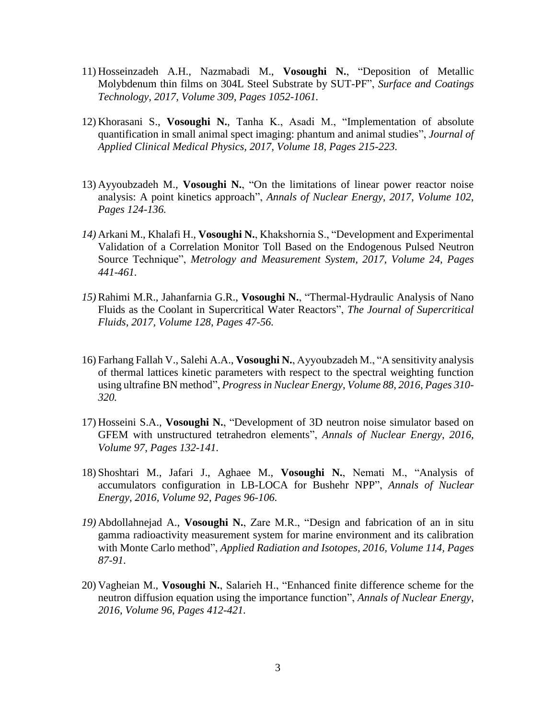- 11) Hosseinzadeh A.H., Nazmabadi M., **Vosoughi N.**, "Deposition of Metallic Molybdenum thin films on 304L Steel Substrate by SUT-PF", *[Surface and Coatings](https://www.sciencedirect.com/science/journal/02578972)  [Technology,](https://www.sciencedirect.com/science/journal/02578972) 2017, Volume 309, Pages 1052-1061.*
- 12) Khorasani S., **Vosoughi N.**, Tanha K., Asadi M., "Implementation of absolute quantification in small animal spect imaging: phantum and animal studies", *[Journal of](https://www.ncbi.nlm.nih.gov/pubmed/28508491) Applied [Clinical Medical](https://www.ncbi.nlm.nih.gov/pubmed/28508491) Physics, 2017, Volume 18, Pages 215-223.*
- 13) Ayyoubzadeh M., **Vosoughi N.**, "On the limitations of linear power reactor noise analysis: A point kinetics approach", *Annals of Nuclear Energy*, *2017*, *Volume 102*, *Pages 124-136.*
- *14)* Arkani M., Khalafi H., **Vosoughi N.**, Khakshornia S., "Development and Experimental Validation of a Correlation Monitor Toll Based on the Endogenous Pulsed Neutron Source Technique", *Metrology and Measurement System, 2017, Volume 24, Pages 441-461.*
- *15)*Rahimi M.R., Jahanfarnia G.R., **Vosoughi N.**, "Thermal-Hydraulic Analysis of Nano Fluids as the Coolant in Supercritical Water Reactors", *[The Journal of Supercritical](https://www.sciencedirect.com/science/journal/08968446)  [Fluids,](https://www.sciencedirect.com/science/journal/08968446) 2017, Volume 128, Pages 47-56.*
- 16) Farhang Fallah V., Salehi A.A., **Vosoughi N.**, Ayyoubzadeh M., "A sensitivity analysis of thermal lattices kinetic parameters with respect to the spectral weighting function using ultrafine BN method", *Progress in Nuclear Energy*, *Volume 88*, *2016*, *Pages 310- 320.*
- 17) Hosseini S.A., **Vosoughi N.**, "Development of 3D neutron noise simulator based on GFEM with unstructured tetrahedron elements", *Annals of Nuclear Energy*, *2016, Volume 97*, *Pages 132-141.*
- 18) Shoshtari M., Jafari J., Aghaee M., **Vosoughi N.**, Nemati M., "Analysis of accumulators configuration in LB-LOCA for Bushehr NPP", *Annals of Nuclear Energy*, *2016, Volume 92*, *Pages 96-106.*
- *19)* Abdollahnejad A., **Vosoughi N.**, Zare M.R., "Design and fabrication of an in situ gamma radioactivity measurement system for marine environment and its calibration with Monte Carlo method", *[Applied Radiation and Isotopes,](https://www.sciencedirect.com/science/journal/09698043) 2016, Volume 114, Pages 87-91.*
- 20) Vagheian M., **Vosoughi N.**, Salarieh H., "Enhanced finite difference scheme for the neutron diffusion equation using the importance function", *Annals of Nuclear Energy*, *2016, Volume 96*, *Pages 412-421.*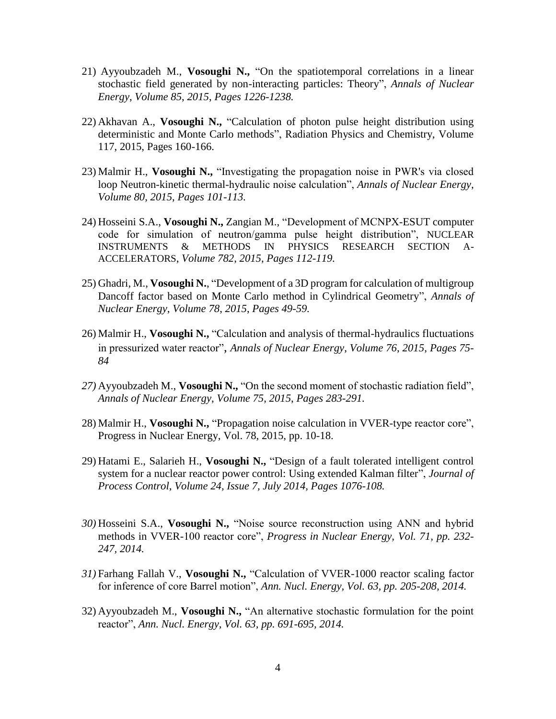- 21) Ayyoubzadeh M., **Vosoughi N.,** ["On the spatiotemporal correlations in a linear](http://www.sciencedirect.com/science/article/pii/S0306454915004004)  [stochastic field generated by non-interacting particles: Theory"](http://www.sciencedirect.com/science/article/pii/S0306454915004004), *Annals of Nuclear Energy*, *Volume 85*, *2015*, *Pages 1226-1238.*
- 22) Akhavan A., **Vosoughi N.,** ["Calculation of photon pulse height distribution using](http://www.sciencedirect.com/science/article/pii/S0969806X15300359)  [deterministic and Monte Carlo methods"](http://www.sciencedirect.com/science/article/pii/S0969806X15300359), Radiation Physics and Chemistry, Volume 117, 2015, Pages 160-166.
- 23) Malmir H., **Vosoughi N.,** "Investigating the propagation noise in PWR's via closed loop Neutron-kinetic thermal-hydraulic noise calculation", *Annals of Nuclear Energy*, *Volume 80*, *2015*, *Pages 101-113.*
- 24) Hosseini S.A., **Vosoughi N.,** Zangian M., "Development of MCNPX-ESUT computer code for simulation of neutron/gamma pulse height distribution", NUCLEAR INSTRUMENTS & METHODS IN PHYSICS RESEARCH SECTION A-ACCELERATORS, *Volume 782*, *2015*, *Pages 112-119.*
- 25) Ghadri, M., **Vosoughi N.**, "Development of a 3D program for calculation of multigroup Dancoff factor based on Monte Carlo method in Cylindrical Geometry", *Annals of Nuclear Energy*, *Volume 78*, *2015*, *Pages 49-59.*
- 26) Malmir H., **Vosoughi N.,** "Calculation and analysis of thermal-hydraulics fluctuations in pressurized water reactor", *Annals of Nuclear Energy*, *Volume 76*, *2015*, *Pages 75- 84*
- *27)* Ayyoubzadeh M., **Vosoughi N.,** "On the second moment of stochastic radiation field", *Annals of Nuclear Energy*, *Volume 75*, *2015*, *Pages 283-291.*
- 28) Malmir H., **Vosoughi N.,** "Propagation noise calculation in VVER-type reactor core", Progress in Nuclear Energy, Vol. 78, 2015, pp. 10-18.
- 29) Hatami E., Salarieh H., **Vosoughi N.,** ["Design of a fault tolerated intelligent control](http://www.sciencedirect.com/science/article/pii/S0959152414001139)  [system for a nuclear reactor power control: Using extended Kalman filter"](http://www.sciencedirect.com/science/article/pii/S0959152414001139), *Journal of Process Control, Volume 24, Issue 7, July 2014, Pages 1076-108.*
- *30)* Hosseini S.A., **Vosoughi N.,** "Noise source reconstruction using ANN and hybrid methods in VVER-100 reactor core", *Progress in Nuclear Energy, Vol. 71, pp. 232- 247, 2014.*
- *31)* Farhang Fallah V., **Vosoughi N.,** "Calculation of VVER-1000 reactor scaling factor for inference of core Barrel motion", *Ann. Nucl. Energy, Vol. 63, pp. 205-208, 2014.*
- 32) Ayyoubzadeh M., **Vosoughi N.,** "An alternative stochastic formulation for the point reactor", *Ann. Nucl. Energy, Vol. 63, pp. 691-695, 2014.*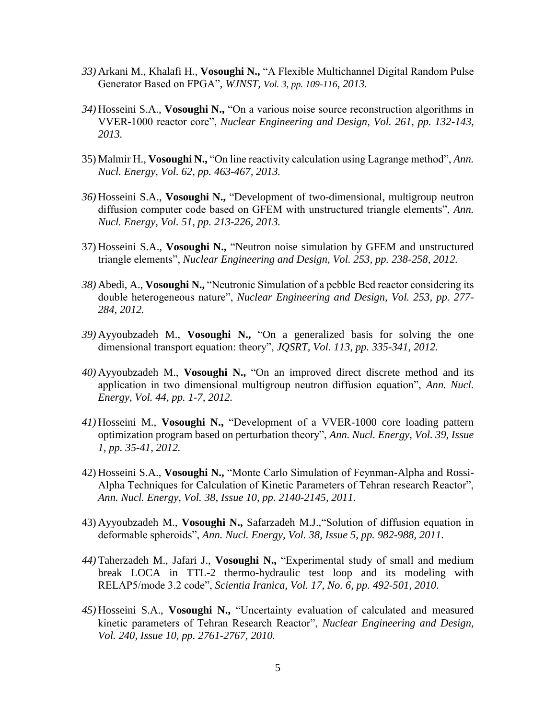- *33)* Arkani M., Khalafi H., **Vosoughi N.,** "A Flexible Multichannel Digital Random Pulse Generator Based on FPGA", *WJNST, Vol. 3, pp. 109-116, 2013.*
- *34)* Hosseini S.A., **Vosoughi N.,** "On a various noise source reconstruction algorithms in VVER-1000 reactor core", *Nuclear Engineering and Design, Vol. 261, pp. 132-143, 2013.*
- 35) Malmir H., **Vosoughi N.,** "On line reactivity calculation using Lagrange method", *Ann. Nucl. Energy, Vol. 62, pp. 463-467, 2013.*
- *36)* Hosseini S.A., **Vosoughi N.,** "Development of two-dimensional, multigroup neutron diffusion computer code based on GFEM with unstructured triangle elements", *Ann. Nucl. Energy, Vol. 51, pp. 213-226, 2013.*
- 37) Hosseini S.A., **Vosoughi N.,** "Neutron noise simulation by GFEM and unstructured triangle elements", *Nuclear Engineering and Design, Vol. 253, pp. 238-258, 2012.*
- *38)* Abedi, A., **Vosoughi N.,** "Neutronic Simulation of a pebble Bed reactor considering its double heterogeneous nature", *Nuclear Engineering and Design, Vol. 253, pp. 277- 284, 2012.*
- *39)* Ayyoubzadeh M., **Vosoughi N.,** "On a generalized basis for solving the one dimensional transport equation: theory", *JQSRT, Vol. 113, pp. 335-341, 2012.*
- *40)* Ayyoubzadeh M., **Vosoughi N.,** "On an improved direct discrete method and its application in two dimensional multigroup neutron diffusion equation", *Ann. Nucl. Energy, Vol. 44, pp. 1-7, 2012.*
- *41)* Hosseini M., **Vosoughi N.,** "Development of a VVER-1000 core loading pattern optimization program based on perturbation theory", *Ann. Nucl. Energy, Vol. 39, Issue 1, pp. 35-41, 2012.*
- 42) Hosseini S.A., **Vosoughi N.,** "Monte Carlo Simulation of Feynman-Alpha and Rossi-Alpha Techniques for Calculation of Kinetic Parameters of Tehran research Reactor", *Ann. Nucl. Energy, Vol. 38, Issue 10, pp. 2140-2145, 2011.*
- 43) Ayyoubzadeh M., **Vosoughi N.,** Safarzadeh M.J.,"Solution of diffusion equation in deformable spheroids", *Ann. Nucl. Energy, Vol. 38, Issue 5, pp. 982-988, 2011.*
- *44)* Taherzadeh M., Jafari J., **Vosoughi N.,** "Experimental study of small and medium break LOCA in TTL-2 thermo-hydraulic test loop and its modeling with RELAP5/mode 3.2 code", *Scientia Iranica, Vol. 17, No. 6, pp. 492-501, 2010.*
- *45)* Hosseini S.A., **Vosoughi N.,** "Uncertainty evaluation of calculated and measured kinetic parameters of Tehran Research Reactor", *Nuclear Engineering and Design, Vol. 240, Issue 10, pp. 2761-2767, 2010.*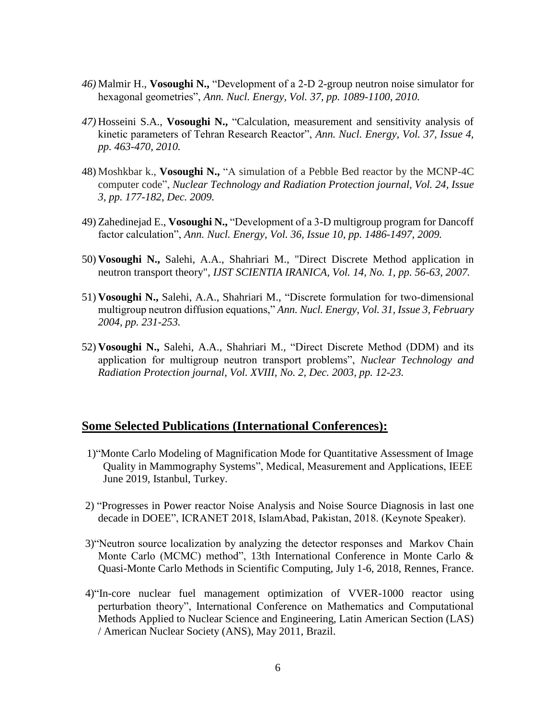- *46)* Malmir H., **Vosoughi N.,** "Development of a 2-D 2-group neutron noise simulator for hexagonal geometries", *Ann. Nucl. Energy, Vol. 37, pp. 1089-1100, 2010.*
- *47)* Hosseini S.A., **Vosoughi N.,** "Calculation, measurement and sensitivity analysis of kinetic parameters of Tehran Research Reactor", *Ann. Nucl. Energy, Vol. 37, Issue 4, pp. 463-470, 2010.*
- 48) Moshkbar k., **Vosoughi N.,** "A simulation of a Pebble Bed reactor by the MCNP-4C computer code", *Nuclear Technology and Radiation Protection journal, Vol. 24, Issue 3, pp. 177-182, Dec. 2009.*
- 49) Zahedinejad E., **Vosoughi N.,** "Development of a 3-D multigroup program for Dancoff factor calculation", *Ann. Nucl. Energy, Vol. 36, Issue 10, pp. 1486-1497, 2009.*
- 50) **Vosoughi N.,** Salehi, A.A., Shahriari M., "Direct Discrete Method application in neutron transport theory", *IJST SCIENTIA IRANICA, Vol. 14, No. 1, pp. 56-63, 2007.*
- 51) **Vosoughi N.,** Salehi, A.A., Shahriari M., "Discrete formulation for two-dimensional multigroup neutron diffusion equations," *Ann. Nucl. Energy, Vol. 31, Issue 3, February 2004, pp. 231-253.*
- 52) **Vosoughi N.,** Salehi, A.A., Shahriari M., "Direct Discrete Method (DDM) and its application for multigroup neutron transport problems", *Nuclear Technology and Radiation Protection journal, Vol. XVIII, No. 2, Dec. 2003, pp. 12-23.*

#### **Some Selected Publications (International Conferences):**

- 1)"Monte Carlo Modeling of Magnification Mode for Quantitative Assessment of Image Quality in Mammography Systems", Medical, Measurement and Applications, IEEE June 2019, Istanbul, Turkey.
- 2) "Progresses in Power reactor Noise Analysis and Noise Source Diagnosis in last one decade in DOEE", ICRANET 2018, IslamAbad, Pakistan, 2018. (Keynote Speaker).
- 3)"Neutron source localization by analyzing the detector responses and Markov Chain Monte Carlo (MCMC) method", 13th International Conference in Monte Carlo & Quasi-Monte Carlo Methods in Scientific Computing, July 1-6, 2018, Rennes, France.
- 4)"In-core nuclear fuel management optimization of VVER-1000 reactor using perturbation theory", International Conference on Mathematics and Computational Methods Applied to Nuclear Science and Engineering, Latin American Section (LAS) / American Nuclear Society (ANS), May 2011, Brazil.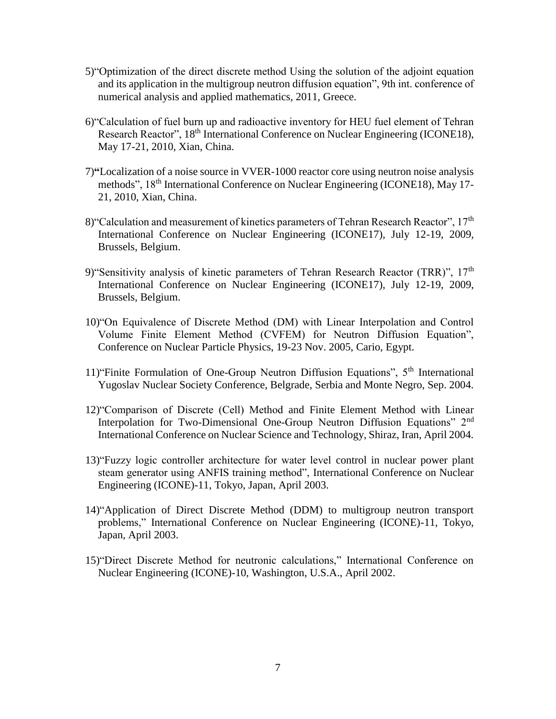- 5)"Optimization of the direct discrete method Using the solution of the adjoint equation and its application in the multigroup neutron diffusion equation", 9th int. conference of numerical analysis and applied mathematics, 2011, Greece.
- 6)"Calculation of fuel burn up and radioactive inventory for HEU fuel element of Tehran Research Reactor", 18<sup>th</sup> International Conference on Nuclear Engineering (ICONE18), May 17-21, 2010, Xian, China.
- 7)**"**Localization of a noise source in VVER-1000 reactor core using neutron noise analysis methods", 18<sup>th</sup> International Conference on Nuclear Engineering (ICONE18), May 17-21, 2010, Xian, China.
- 8) Calculation and measurement of kinetics parameters of Tehran Research Reactor", 17<sup>th</sup> International Conference on Nuclear Engineering (ICONE17), July 12-19, 2009, Brussels, Belgium.
- 9) Sensitivity analysis of kinetic parameters of Tehran Research Reactor (TRR)", 17<sup>th</sup> International Conference on Nuclear Engineering (ICONE17), July 12-19, 2009, Brussels, Belgium.
- 10)"On Equivalence of Discrete Method (DM) with Linear Interpolation and Control Volume Finite Element Method (CVFEM) for Neutron Diffusion Equation", Conference on Nuclear Particle Physics, 19-23 Nov. 2005, Cario, Egypt.
- 11)"Finite Formulation of One-Group Neutron Diffusion Equations", 5th International Yugoslav Nuclear Society Conference, Belgrade, Serbia and Monte Negro, Sep. 2004.
- 12)"Comparison of Discrete (Cell) Method and Finite Element Method with Linear Interpolation for Two-Dimensional One-Group Neutron Diffusion Equations" 2<sup>nd</sup> International Conference on Nuclear Science and Technology, Shiraz, Iran, April 2004.
- 13)"Fuzzy logic controller architecture for water level control in nuclear power plant steam generator using ANFIS training method", International Conference on Nuclear Engineering (ICONE)-11, Tokyo, Japan, April 2003.
- 14)"Application of Direct Discrete Method (DDM) to multigroup neutron transport problems," International Conference on Nuclear Engineering (ICONE)-11, Tokyo, Japan, April 2003.
- 15)"Direct Discrete Method for neutronic calculations," International Conference on Nuclear Engineering (ICONE)-10, Washington, U.S.A., April 2002.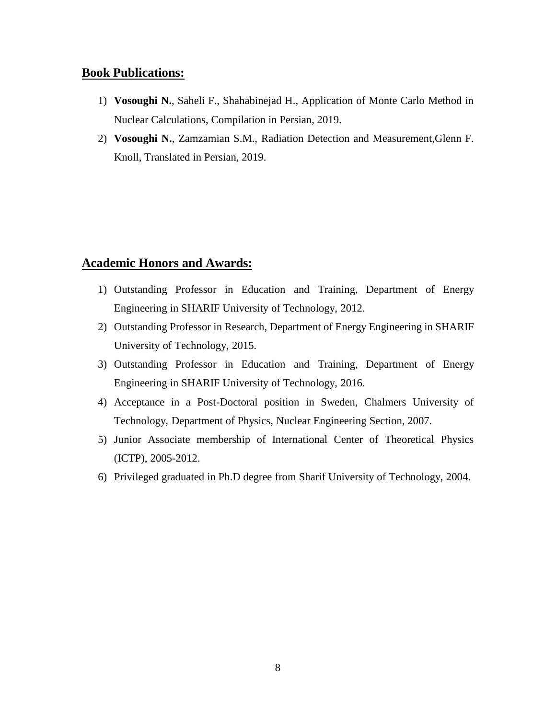## **Book Publications:**

- 1) **Vosoughi N.**, Saheli F., Shahabinejad H., Application of Monte Carlo Method in Nuclear Calculations, Compilation in Persian, 2019.
- 2) **Vosoughi N.**, Zamzamian S.M., Radiation Detection and Measurement,Glenn F. Knoll, Translated in Persian, 2019.

#### **Academic Honors and Awards:**

- 1) Outstanding Professor in Education and Training, Department of Energy Engineering in SHARIF University of Technology, 2012.
- 2) Outstanding Professor in Research, Department of Energy Engineering in SHARIF University of Technology, 2015.
- 3) Outstanding Professor in Education and Training, Department of Energy Engineering in SHARIF University of Technology, 2016.
- 4) Acceptance in a Post-Doctoral position in Sweden, Chalmers University of Technology, Department of Physics, Nuclear Engineering Section, 2007.
- 5) Junior Associate membership of International Center of Theoretical Physics (ICTP), 2005-2012.
- 6) Privileged graduated in Ph.D degree from Sharif University of Technology, 2004.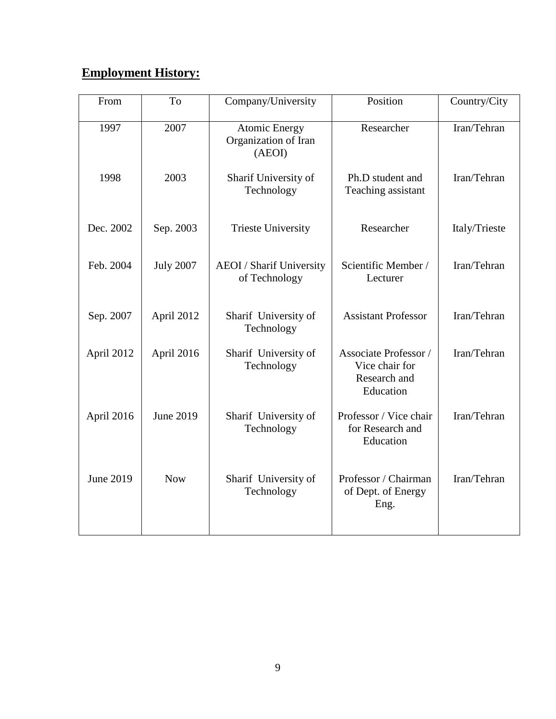## **Employment History:**

| From             | To               | Company/University                                     | Position                                                                    | Country/City  |
|------------------|------------------|--------------------------------------------------------|-----------------------------------------------------------------------------|---------------|
| 1997             | 2007             | <b>Atomic Energy</b><br>Organization of Iran<br>(AEOI) | Researcher                                                                  | Iran/Tehran   |
| 1998             | 2003             | Sharif University of<br>Technology                     | Ph.D student and<br>Teaching assistant                                      | Iran/Tehran   |
| Dec. 2002        | Sep. 2003        | <b>Trieste University</b>                              | Researcher                                                                  | Italy/Trieste |
| Feb. 2004        | <b>July 2007</b> | <b>AEOI</b> / Sharif University<br>of Technology       | Scientific Member /<br>Lecturer                                             | Iran/Tehran   |
| Sep. 2007        | April 2012       | Sharif University of<br>Technology                     | <b>Assistant Professor</b>                                                  | Iran/Tehran   |
| April 2012       | April 2016       | Sharif University of<br>Technology                     | <b>Associate Professor</b> /<br>Vice chair for<br>Research and<br>Education | Iran/Tehran   |
| April 2016       | June 2019        | Sharif University of<br>Technology                     | Professor / Vice chair<br>for Research and<br>Education                     | Iran/Tehran   |
| <b>June 2019</b> | <b>Now</b>       | Sharif University of<br>Technology                     | Professor / Chairman<br>of Dept. of Energy<br>Eng.                          | Iran/Tehran   |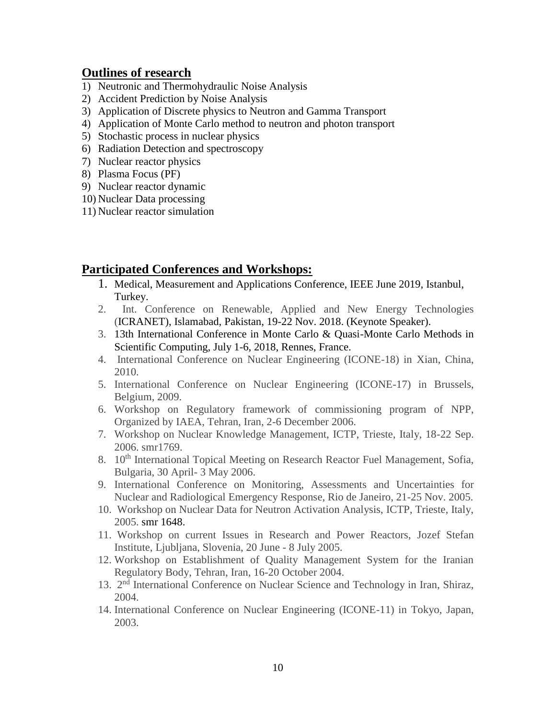## **Outlines of research**

- 1) Neutronic and Thermohydraulic Noise Analysis
- 2) Accident Prediction by Noise Analysis
- 3) Application of Discrete physics to Neutron and Gamma Transport
- 4) Application of Monte Carlo method to neutron and photon transport
- 5) Stochastic process in nuclear physics
- 6) Radiation Detection and spectroscopy
- 7) Nuclear reactor physics
- 8) Plasma Focus (PF)
- 9) Nuclear reactor dynamic
- 10) Nuclear Data processing
- 11) Nuclear reactor simulation

## **Participated Conferences and Workshops:**

- 1. Medical, Measurement and Applications Conference, IEEE June 2019, Istanbul, Turkey.
- 2. Int. Conference on Renewable, Applied and New Energy Technologies (ICRANET), Islamabad, Pakistan, 19-22 Nov. 2018. (Keynote Speaker).
- 3. 13th International Conference in Monte Carlo & Quasi-Monte Carlo Methods in Scientific Computing, July 1-6, 2018, Rennes, France.
- 4. International Conference on Nuclear Engineering (ICONE-18) in Xian, China, 2010.
- 5. International Conference on Nuclear Engineering (ICONE-17) in Brussels, Belgium, 2009.
- 6. Workshop on Regulatory framework of commissioning program of NPP, Organized by IAEA, Tehran, Iran, 2-6 December 2006.
- 7. Workshop on Nuclear Knowledge Management, ICTP, Trieste, Italy, 18-22 Sep. 2006. smr1769.
- 8. 10<sup>th</sup> International Topical Meeting on Research Reactor Fuel Management, Sofia, Bulgaria, 30 April- 3 May 2006.
- 9. International Conference on Monitoring, Assessments and Uncertainties for Nuclear and Radiological Emergency Response, Rio de Janeiro, 21-25 Nov. 2005.
- 10. Workshop on Nuclear Data for Neutron Activation Analysis, ICTP, Trieste, Italy, 2005. smr 1648.
- 11. Workshop on current Issues in Research and Power Reactors, Jozef Stefan Institute, Ljubljana, Slovenia, 20 June - 8 July 2005.
- 12. Workshop on Establishment of Quality Management System for the Iranian Regulatory Body, Tehran, Iran, 16-20 October 2004.
- 13. 2<sup>nd</sup> International Conference on Nuclear Science and Technology in Iran, Shiraz, 2004.
- 14. International Conference on Nuclear Engineering (ICONE-11) in Tokyo, Japan, 2003.